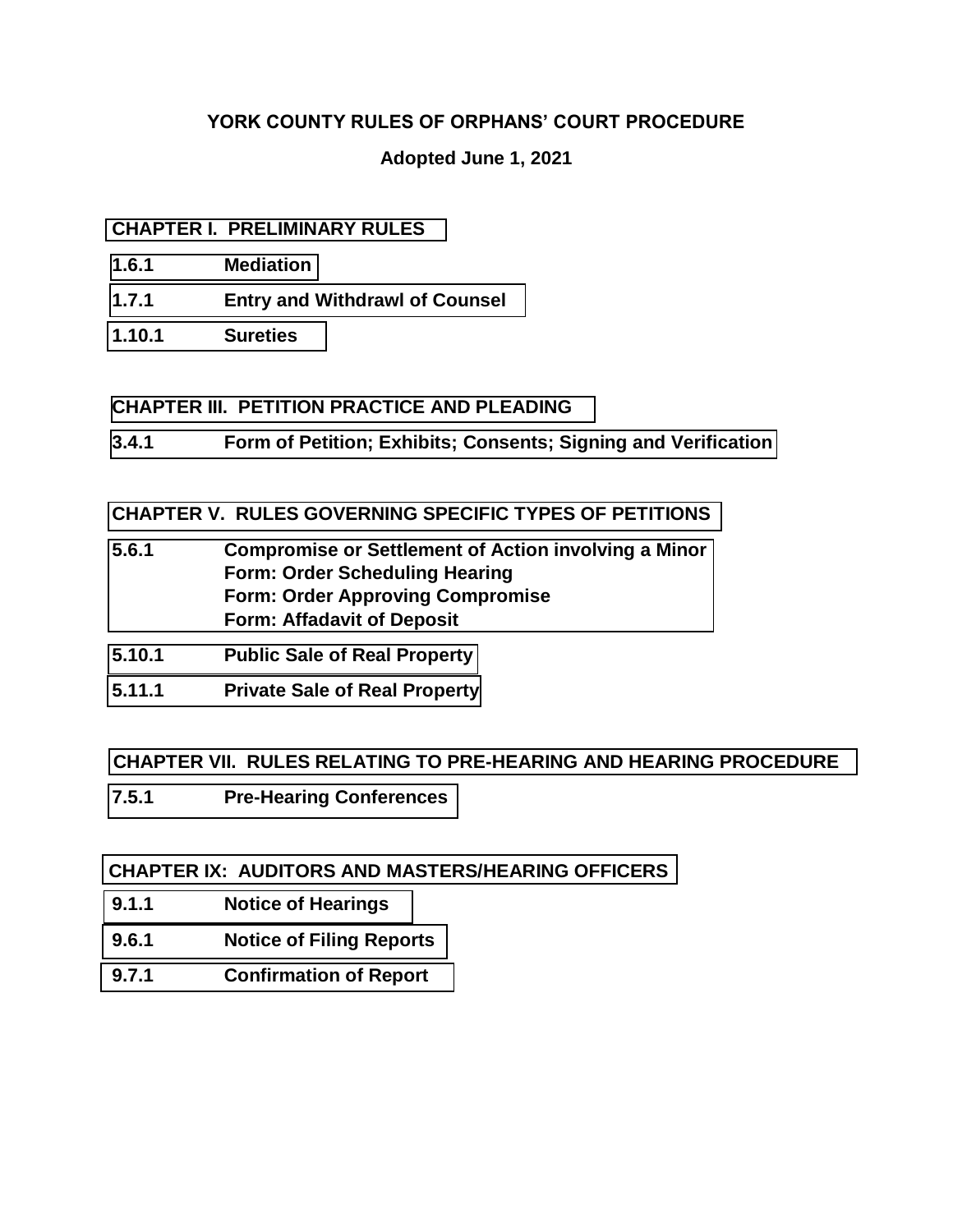## <span id="page-0-0"></span>**YORK COUNTY RULES OF ORPHANS' COURT PROCEDURE**

## **Adopted June 1, 2021**

### **[CHAPTER I. PRELIMINARY RULES](#page-1-0)**

- **[1.6.1 Mediation](#page-1-0)**
- **[1.7.1 Entry and Withdrawl of Counsel](#page-2-0)**
- **[1.10.1 Sureties](#page-3-0)**

#### **[CHAPTER III. PETITION PRACTICE AND PLEADING](#page-4-0)**

**[3.4.1 Form of Petition; Exhibits; Consents; Signing and Verification](#page-4-0)** 

#### **[CHAPTER V. RULES GOVERNING SPECIFIC TYPES OF PETITIONS](#page-5-0)**

- **[5.6.1 Compromise or Settlement of Action involving a Minor](#page-5-0)  Form: Order Scheduling Hearing Form: Order Approving Compromise Form: Affadavit of Deposit**
- **[5.10.1 Public Sale of Real Property](#page-12-0)**
- **[5.11.1 Private Sale of Real Property](#page-14-0)**

### **[CHAPTER VII. RULES RELATING TO PRE-HEARING AND HEARING PROCEDURE](#page-15-0)**

**[7.5.1 Pre-Hearing Conferences](#page-15-0)** 

### **[CHAPTER IX: AUDITORS AND MASTERS/HEARING OFFICERS](#page-16-0)**

- **[9.1.1 Notice of Hearings](#page-16-0)**
- **[9.6.1 Notice of Filing Reports](#page-16-1)**
- **[9.7.1 Confirmation of Report](#page-17-0)**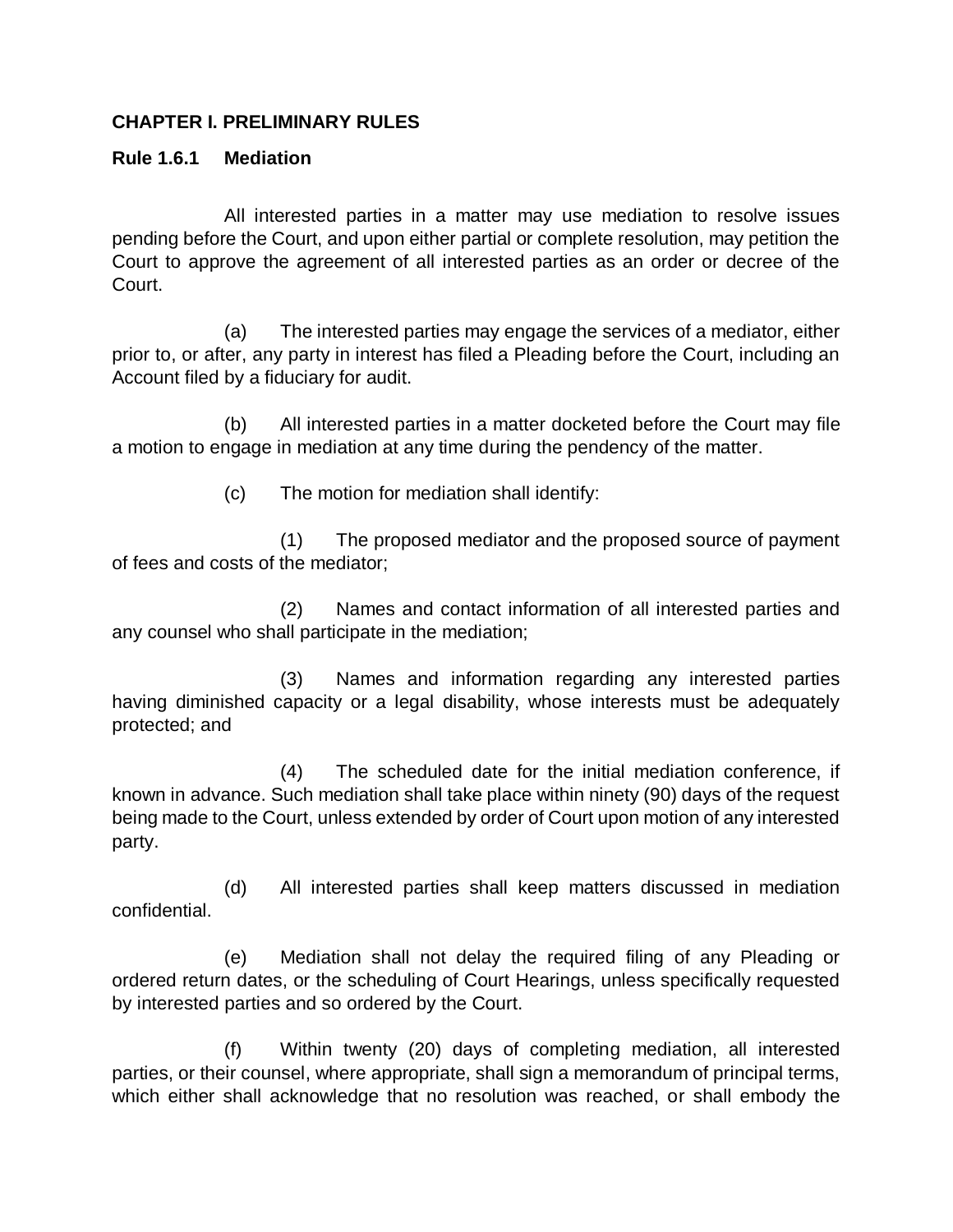#### <span id="page-1-0"></span>**CHAPTER I. PRELIMINARY RULES**

#### **Rule 1.6.1 Mediation**

All interested parties in a matter may use mediation to resolve issues pending before the Court, and upon either partial or complete resolution, may petition the Court to approve the agreement of all interested parties as an order or decree of the Court.

(a) The interested parties may engage the services of a mediator, either prior to, or after, any party in interest has filed a Pleading before the Court, including an Account filed by a fiduciary for audit.

(b) All interested parties in a matter docketed before the Court may file a motion to engage in mediation at any time during the pendency of the matter.

(c) The motion for mediation shall identify:

(1) The proposed mediator and the proposed source of payment of fees and costs of the mediator;

(2) Names and contact information of all interested parties and any counsel who shall participate in the mediation;

(3) Names and information regarding any interested parties having diminished capacity or a legal disability, whose interests must be adequately protected; and

(4) The scheduled date for the initial mediation conference, if known in advance. Such mediation shall take place within ninety (90) days of the request being made to the Court, unless extended by order of Court upon motion of any interested party.

(d) All interested parties shall keep matters discussed in mediation confidential.

(e) Mediation shall not delay the required filing of any Pleading or ordered return dates, or the scheduling of Court Hearings, unless specifically requested by interested parties and so ordered by the Court.

(f) Within twenty (20) days of completing mediation, all interested parties, or their counsel, where appropriate, shall sign a memorandum of principal terms, which either shall acknowledge that no resolution was reached, or shall embody the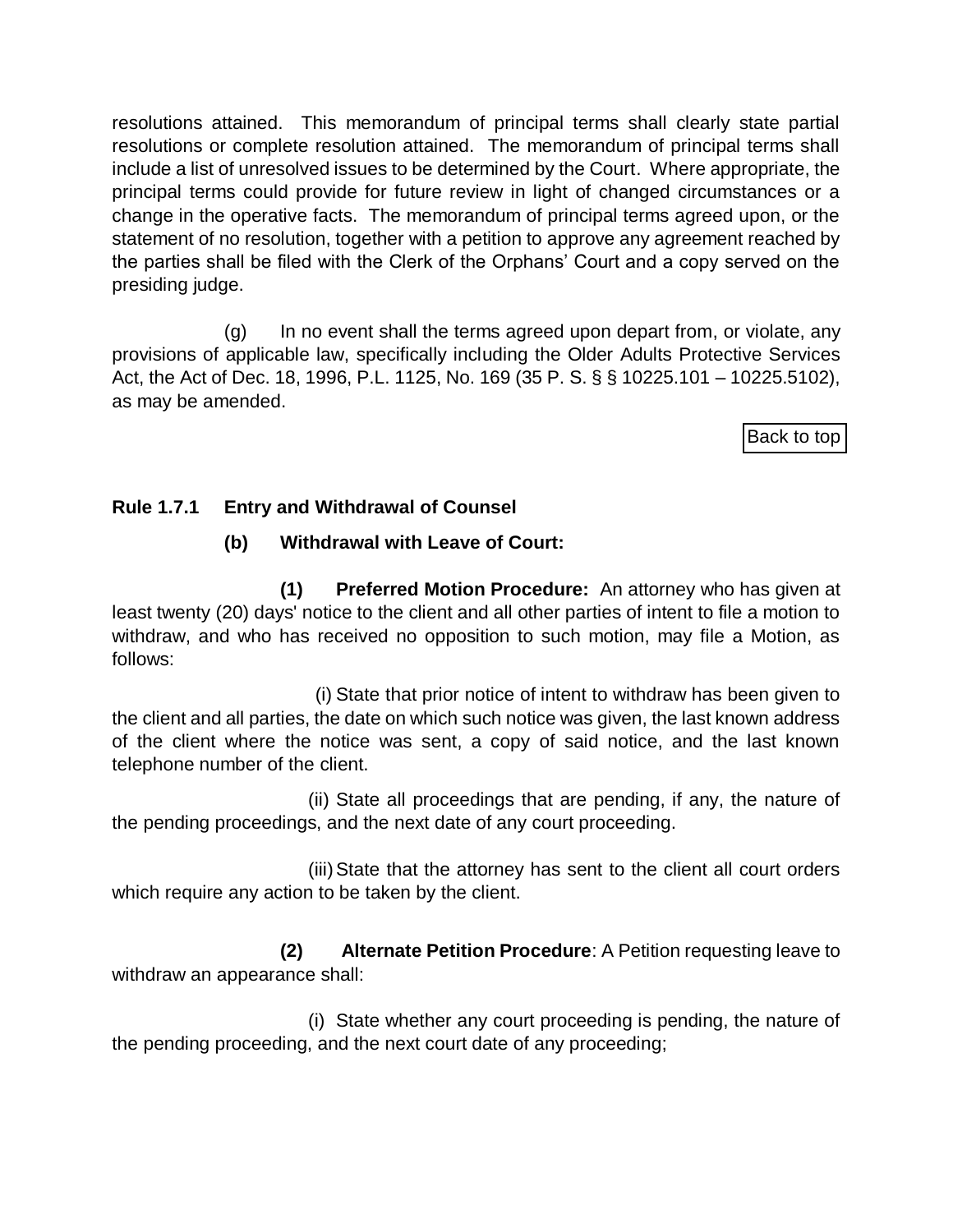resolutions attained. This memorandum of principal terms shall clearly state partial resolutions or complete resolution attained. The memorandum of principal terms shall include a list of unresolved issues to be determined by the Court. Where appropriate, the principal terms could provide for future review in light of changed circumstances or a change in the operative facts. The memorandum of principal terms agreed upon, or the statement of no resolution, together with a petition to approve any agreement reached by the parties shall be filed with the Clerk of the Orphans' Court and a copy served on the presiding judge.

(g) In no event shall the terms agreed upon depart from, or violate, any provisions of applicable law, specifically including the Older Adults Protective Services Act, the Act of Dec. 18, 1996, P.L. 1125, No. 169 (35 P. S. § § 10225.101 – 10225.5102), as may be amended.

[Back to top](#page-0-0)

## <span id="page-2-0"></span>**Rule 1.7.1 Entry and Withdrawal of Counsel**

# **(b) Withdrawal with Leave of Court:**

**(1) Preferred Motion Procedure:** An attorney who has given at least twenty (20) days' notice to the client and all other parties of intent to file a motion to withdraw, and who has received no opposition to such motion, may file a Motion, as follows:

(i) State that prior notice of intent to withdraw has been given to the client and all parties, the date on which such notice was given, the last known address of the client where the notice was sent, a copy of said notice, and the last known telephone number of the client.

(ii) State all proceedings that are pending, if any, the nature of the pending proceedings, and the next date of any court proceeding.

(iii)State that the attorney has sent to the client all court orders which require any action to be taken by the client.

**(2) Alternate Petition Procedure**: A Petition requesting leave to withdraw an appearance shall:

(i) State whether any court proceeding is pending, the nature of the pending proceeding, and the next court date of any proceeding;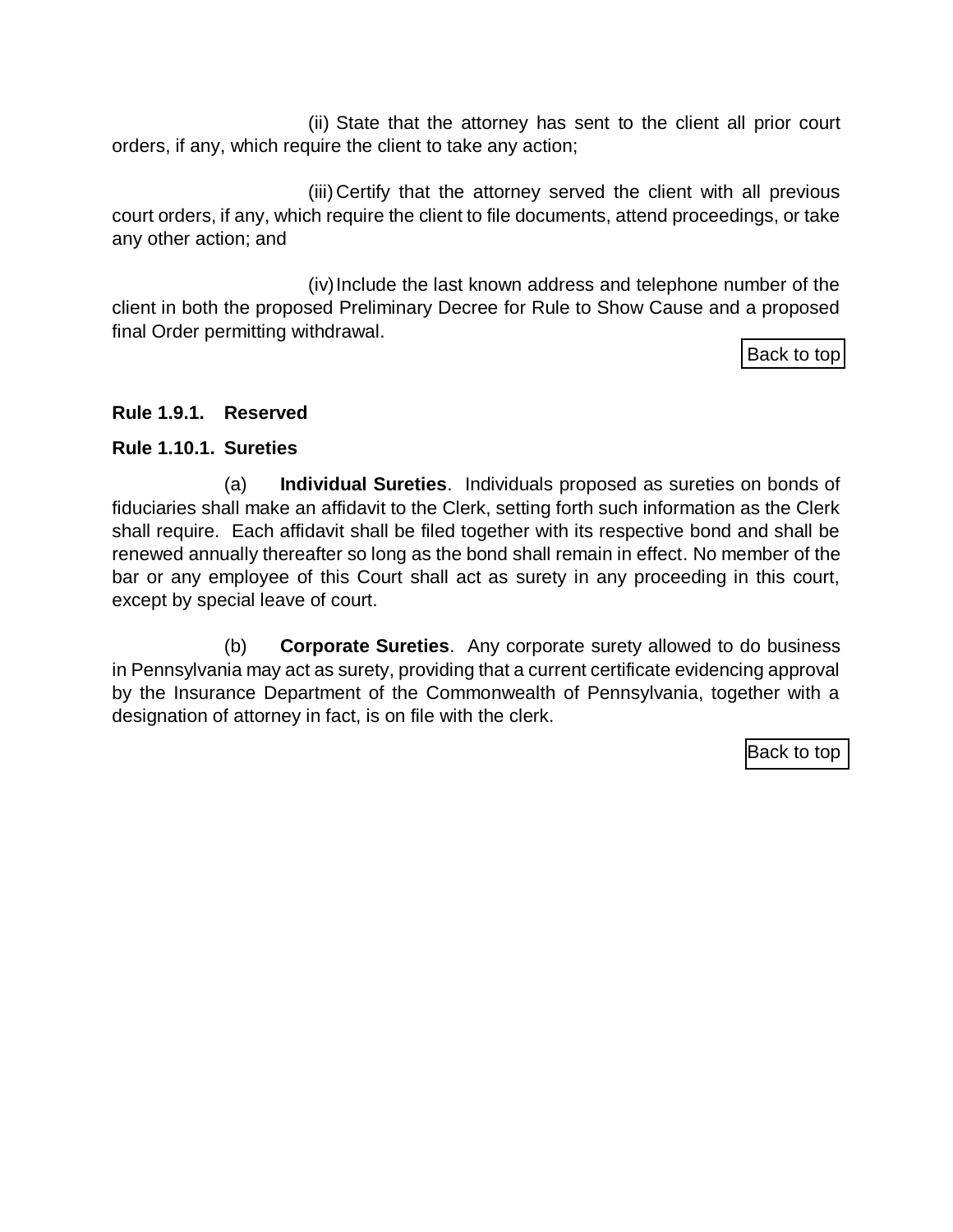(ii) State that the attorney has sent to the client all prior court orders, if any, which require the client to take any action;

(iii) Certify that the attorney served the client with all previous court orders, if any, which require the client to file documents, attend proceedings, or take any other action; and

(iv)Include the last known address and telephone number of the client in both the proposed Preliminary Decree for Rule to Show Cause and a proposed final Order permitting withdrawal.

[Back to top](#page-0-0)

### **Rule 1.9.1. Reserved**

#### <span id="page-3-0"></span>**Rule 1.10.1. Sureties**

(a) **Individual Sureties**. Individuals proposed as sureties on bonds of fiduciaries shall make an affidavit to the Clerk, setting forth such information as the Clerk shall require. Each affidavit shall be filed together with its respective bond and shall be renewed annually thereafter so long as the bond shall remain in effect. No member of the bar or any employee of this Court shall act as surety in any proceeding in this court, except by special leave of court.

(b) **Corporate Sureties**. Any corporate surety allowed to do business in Pennsylvania may act as surety, providing that a current certificate evidencing approval by the Insurance Department of the Commonwealth of Pennsylvania, together with a designation of attorney in fact, is on file with the clerk.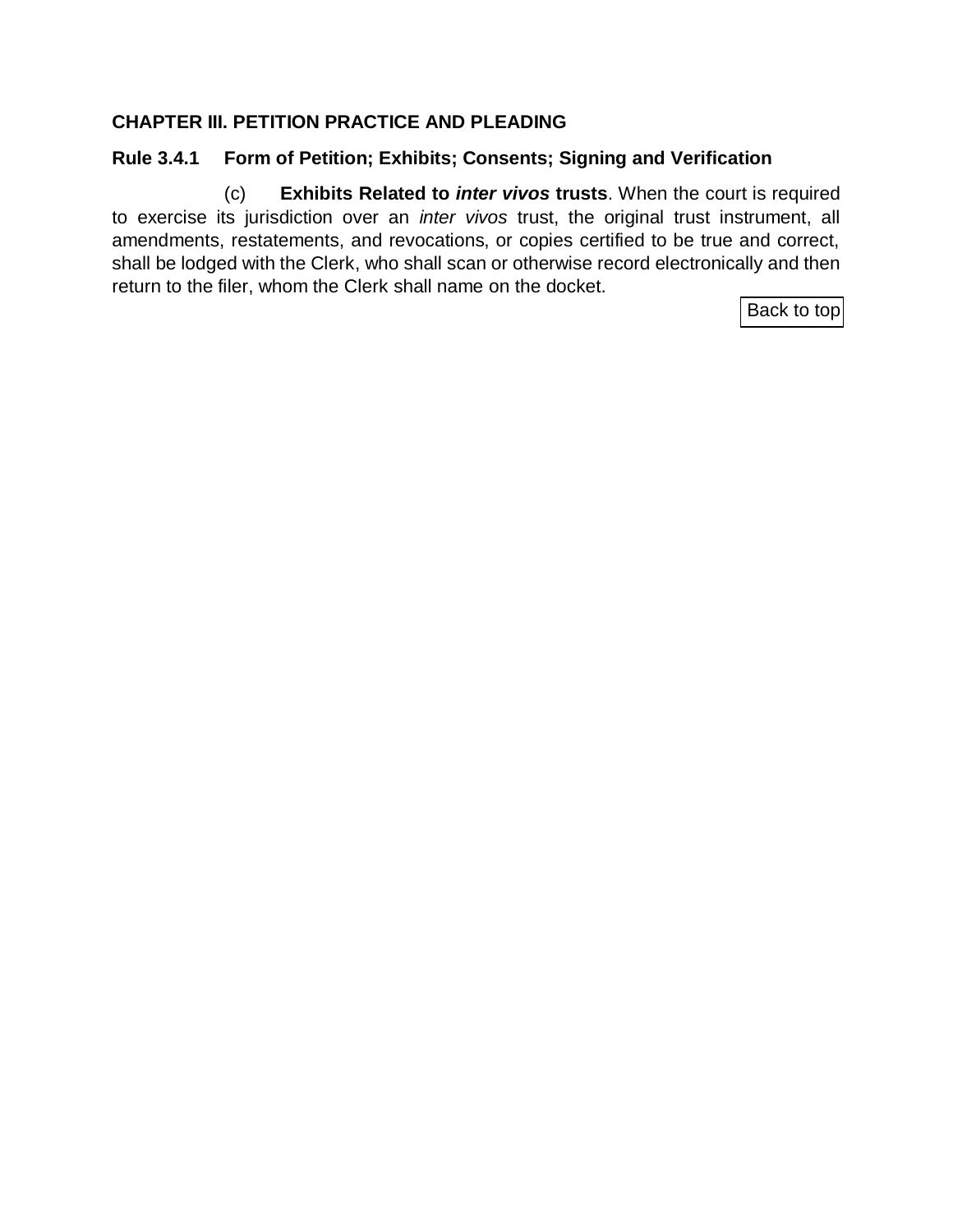## <span id="page-4-0"></span>**CHAPTER III. PETITION PRACTICE AND PLEADING**

## **Rule 3.4.1 Form of Petition; Exhibits; Consents; Signing and Verification**

(c) **Exhibits Related to** *inter vivos* **trusts**. When the court is required to exercise its jurisdiction over an *inter vivos* trust, the original trust instrument, all amendments, restatements, and revocations, or copies certified to be true and correct, shall be lodged with the Clerk, who shall scan or otherwise record electronically and then return to the filer, whom the Clerk shall name on the docket.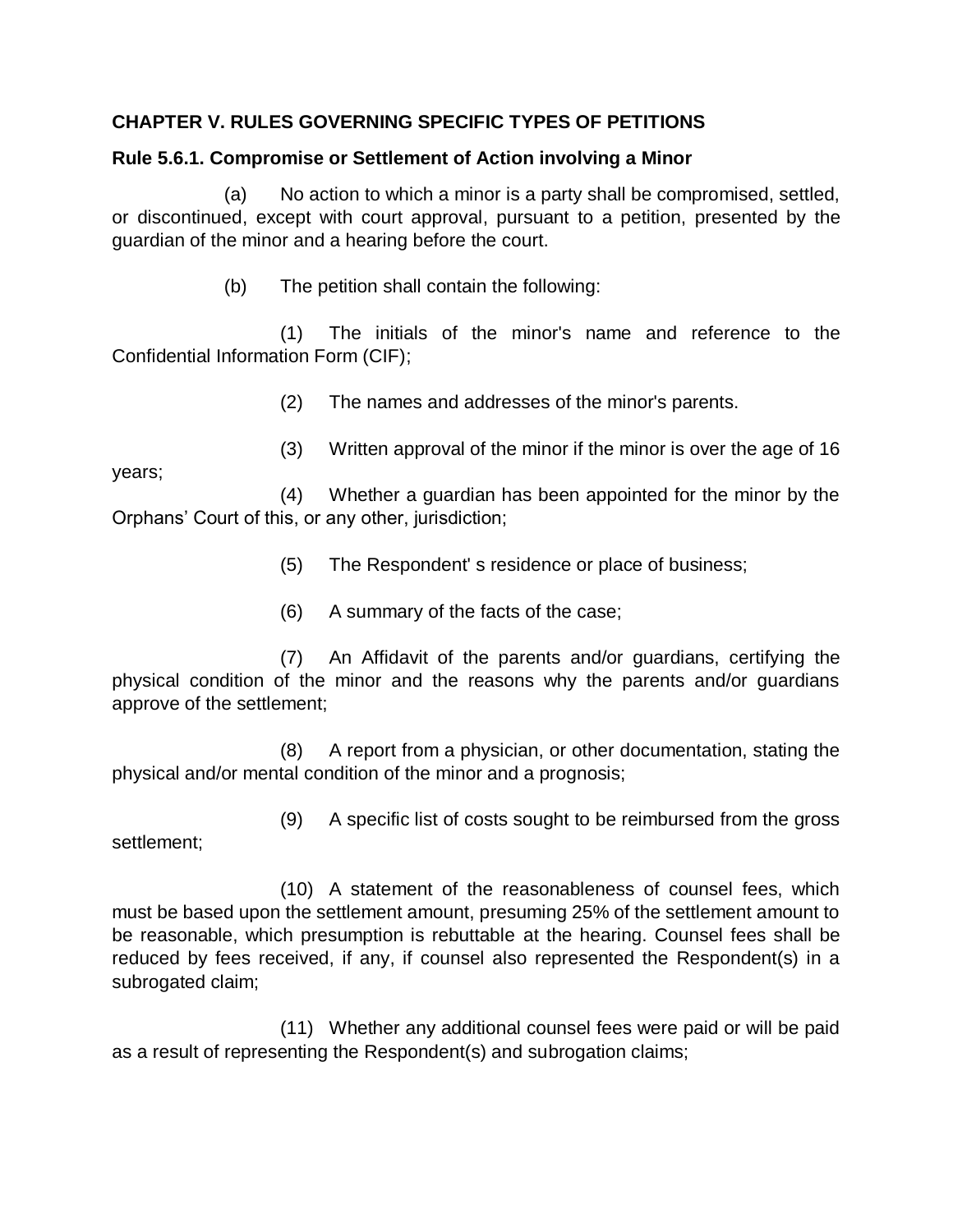## <span id="page-5-0"></span>**CHAPTER V. RULES GOVERNING SPECIFIC TYPES OF PETITIONS**

### **Rule 5.6.1. Compromise or Settlement of Action involving a Minor**

(a) No action to which a minor is a party shall be compromised, settled, or discontinued, except with court approval, pursuant to a petition, presented by the guardian of the minor and a hearing before the court.

(b) The petition shall contain the following:

(1) The initials of the minor's name and reference to the Confidential Information Form (CIF);

(2) The names and addresses of the minor's parents.

(3) Written approval of the minor if the minor is over the age of 16

years;

(4) Whether a guardian has been appointed for the minor by the Orphans' Court of this, or any other, jurisdiction;

- (5) The Respondent' s residence or place of business;
- (6) A summary of the facts of the case;

(7) An Affidavit of the parents and/or guardians, certifying the physical condition of the minor and the reasons why the parents and/or guardians approve of the settlement;

(8) A report from a physician, or other documentation, stating the physical and/or mental condition of the minor and a prognosis;

settlement;

(9) A specific list of costs sought to be reimbursed from the gross

(10) A statement of the reasonableness of counsel fees, which must be based upon the settlement amount, presuming 25% of the settlement amount to be reasonable, which presumption is rebuttable at the hearing. Counsel fees shall be reduced by fees received, if any, if counsel also represented the Respondent(s) in a subrogated claim;

(11) Whether any additional counsel fees were paid or will be paid as a result of representing the Respondent(s) and subrogation claims;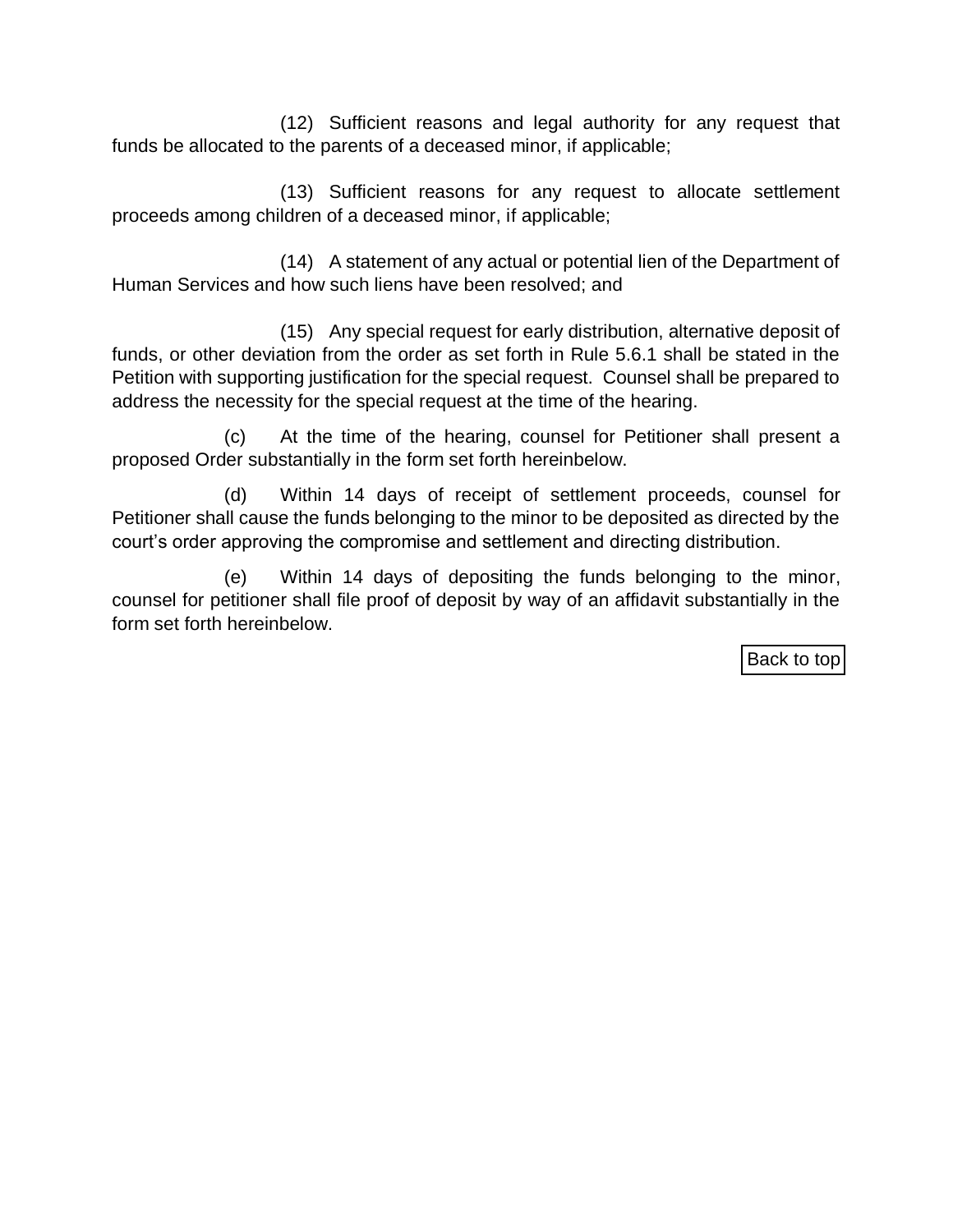(12) Sufficient reasons and legal authority for any request that funds be allocated to the parents of a deceased minor, if applicable;

(13) Sufficient reasons for any request to allocate settlement proceeds among children of a deceased minor, if applicable;

(14) A statement of any actual or potential lien of the Department of Human Services and how such liens have been resolved; and

(15) Any special request for early distribution, alternative deposit of funds, or other deviation from the order as set forth in Rule 5.6.1 shall be stated in the Petition with supporting justification for the special request. Counsel shall be prepared to address the necessity for the special request at the time of the hearing.

(c) At the time of the hearing, counsel for Petitioner shall present a proposed Order substantially in the form set forth hereinbelow.

(d) Within 14 days of receipt of settlement proceeds, counsel for Petitioner shall cause the funds belonging to the minor to be deposited as directed by the court's order approving the compromise and settlement and directing distribution.

(e) Within 14 days of depositing the funds belonging to the minor, counsel for petitioner shall file proof of deposit by way of an affidavit substantially in the form set forth hereinbelow.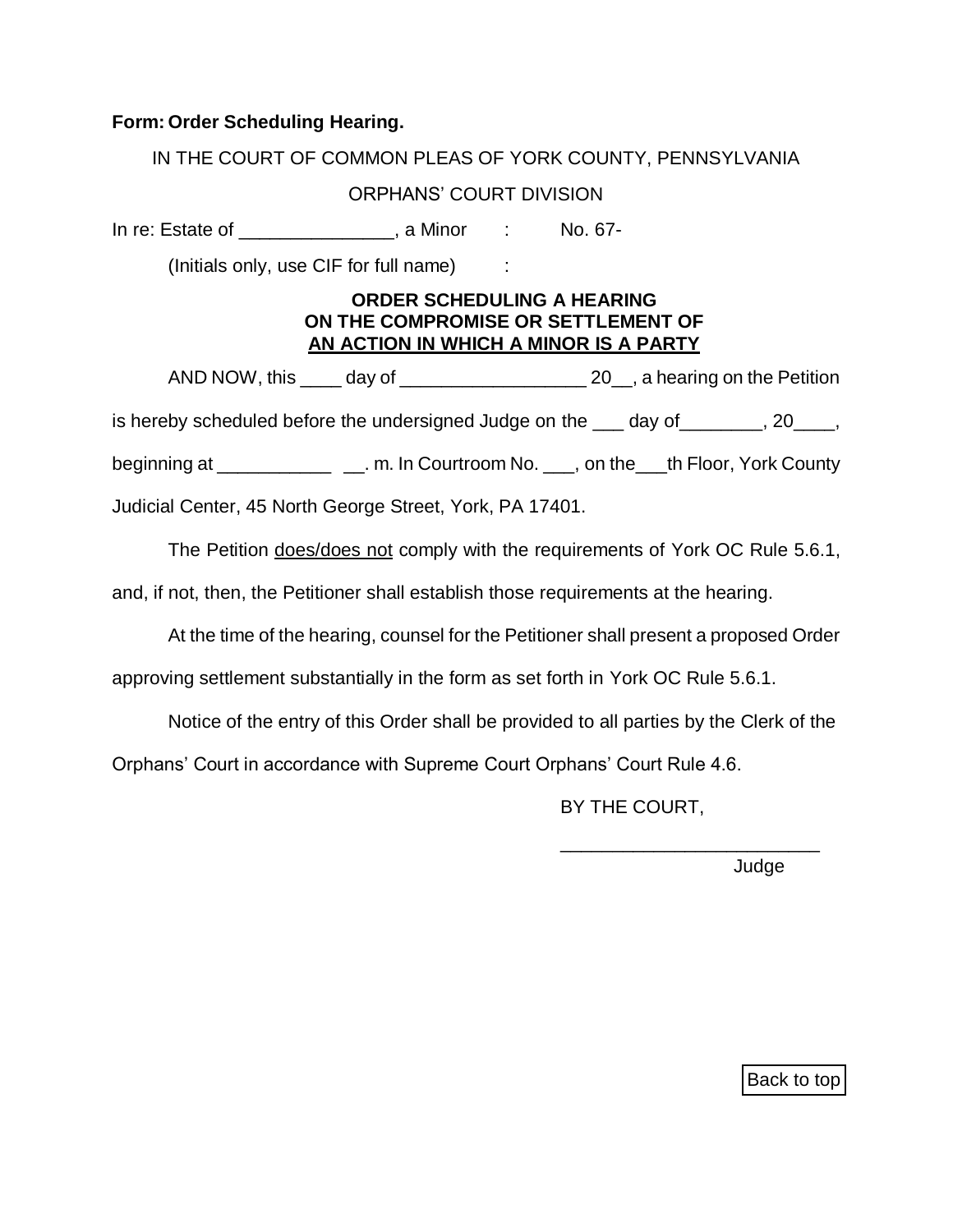#### **Form: Order Scheduling Hearing.**

IN THE COURT OF COMMON PLEAS OF YORK COUNTY, PENNSYLVANIA

## ORPHANS' COURT DIVISION

In re: Estate of \_\_\_\_\_\_\_\_\_\_\_\_\_\_\_, a Minor : No. 67-

(Initials only, use CIF for full name) :

#### **ORDER SCHEDULING A HEARING ON THE COMPROMISE OR SETTLEMENT OF AN ACTION IN WHICH A MINOR IS A PARTY**

AND NOW, this \_\_\_\_ day of \_\_\_\_\_\_\_\_\_\_\_\_\_\_\_\_\_\_ 20\_\_, a hearing on the Petition is hereby scheduled before the undersigned Judge on the day of and responsively contained before the undersigned Judge on the day of  $\sim$ beginning at \_\_\_\_\_\_\_\_\_\_\_\_\_\_\_\_\_\_\_\_\_. m. In Courtroom No. \_\_\_\_, on the \_\_\_th Floor, York County

Judicial Center, 45 North George Street, York, PA 17401.

The Petition does/does not comply with the requirements of York OC Rule 5.6.1,

and, if not, then, the Petitioner shall establish those requirements at the hearing.

At the time of the hearing, counsel for the Petitioner shall present a proposed Order

approving settlement substantially in the form as set forth in York OC Rule 5.6.1.

Notice of the entry of this Order shall be provided to all parties by the Clerk of the

Orphans' Court in accordance with Supreme Court Orphans' Court Rule 4.6.

BY THE COURT,

\_\_\_\_\_\_\_\_\_\_\_\_\_\_\_\_\_\_\_\_\_\_\_\_\_

Judge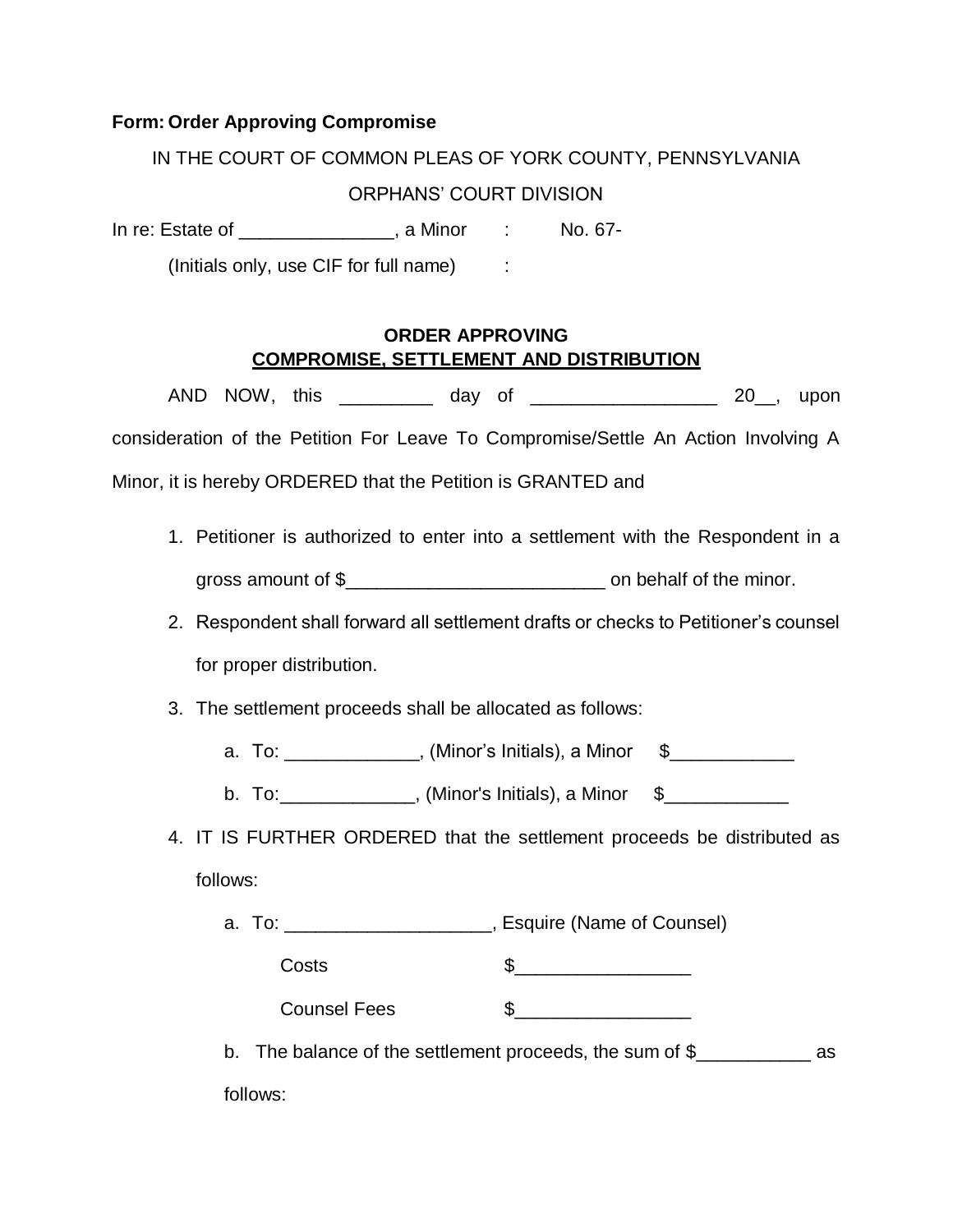#### **Form: Order Approving Compromise**

IN THE COURT OF COMMON PLEAS OF YORK COUNTY, PENNSYLVANIA

#### ORPHANS' COURT DIVISION

In re: Estate of \_\_\_\_\_\_\_\_\_\_\_\_\_\_, a Minor : No. 67-

(Initials only, use CIF for full name) :

#### **ORDER APPROVING COMPROMISE, SETTLEMENT AND DISTRIBUTION**

AND NOW, this \_\_\_\_\_\_\_\_\_\_ day of \_\_\_\_\_\_\_\_\_\_\_\_\_\_\_\_\_\_\_\_\_ 20\_\_, upon consideration of the Petition For Leave To Compromise/Settle An Action Involving A Minor, it is hereby ORDERED that the Petition is GRANTED and

- 1. Petitioner is authorized to enter into a settlement with the Respondent in a gross amount of \$\_\_\_\_\_\_\_\_\_\_\_\_\_\_\_\_\_\_\_\_\_\_\_\_\_ on behalf of the minor.
- 2. Respondent shall forward all settlement drafts or checks to Petitioner's counsel for proper distribution.
- 3. The settlement proceeds shall be allocated as follows:
	- a. To:  $\blacksquare$ , (Minor's Initials), a Minor  $\clubsuit$
	- b. To: \_\_\_\_\_\_\_\_\_\_\_\_\_, (Minor's Initials), a Minor \$\_\_\_\_\_\_\_\_\_\_\_\_\_\_
- 4. IT IS FURTHER ORDERED that the settlement proceeds be distributed as follows:
	- a. To: \_\_\_\_\_\_\_\_\_\_\_\_\_\_\_\_\_\_\_\_, Esquire (Name of Counsel)

 $\csc 5$ 

Counsel Fees  $\sim$  \$

b. The balance of the settlement proceeds, the sum of \$\_\_\_\_\_\_\_\_\_\_\_\_\_\_\_\_\_ as follows: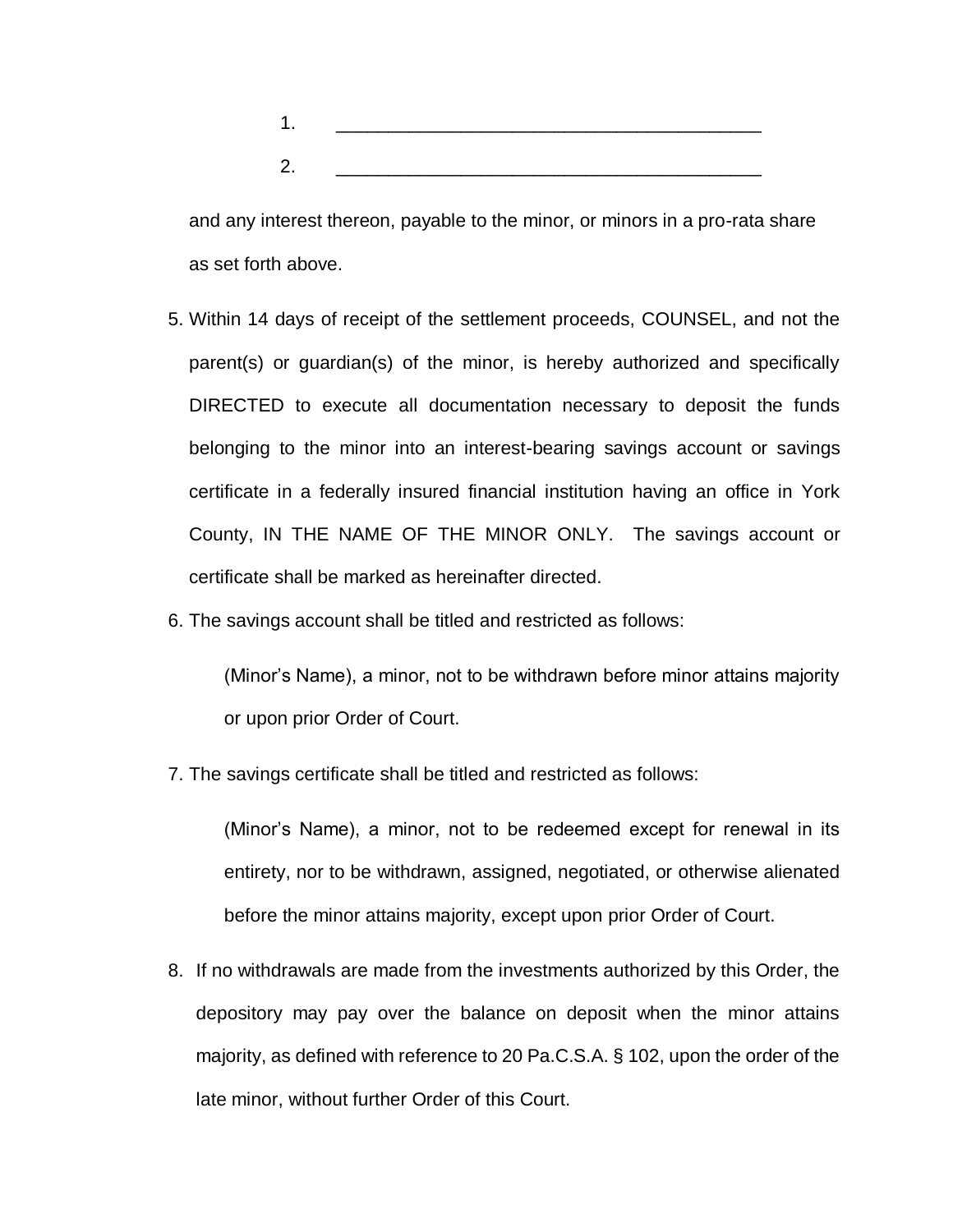| ۰      |  |  |  |
|--------|--|--|--|
|        |  |  |  |
| £<br>٠ |  |  |  |

and any interest thereon, payable to the minor, or minors in a pro-rata share as set forth above.

- 5. Within 14 days of receipt of the settlement proceeds, COUNSEL, and not the parent(s) or guardian(s) of the minor, is hereby authorized and specifically DIRECTED to execute all documentation necessary to deposit the funds belonging to the minor into an interest-bearing savings account or savings certificate in a federally insured financial institution having an office in York County, IN THE NAME OF THE MINOR ONLY. The savings account or certificate shall be marked as hereinafter directed.
- 6. The savings account shall be titled and restricted as follows:

(Minor's Name), a minor, not to be withdrawn before minor attains majority or upon prior Order of Court.

7. The savings certificate shall be titled and restricted as follows:

(Minor's Name), a minor, not to be redeemed except for renewal in its entirety, nor to be withdrawn, assigned, negotiated, or otherwise alienated before the minor attains majority, except upon prior Order of Court.

8. If no withdrawals are made from the investments authorized by this Order, the depository may pay over the balance on deposit when the minor attains majority, as defined with reference to 20 Pa.C.S.A. § 102, upon the order of the late minor, without further Order of this Court.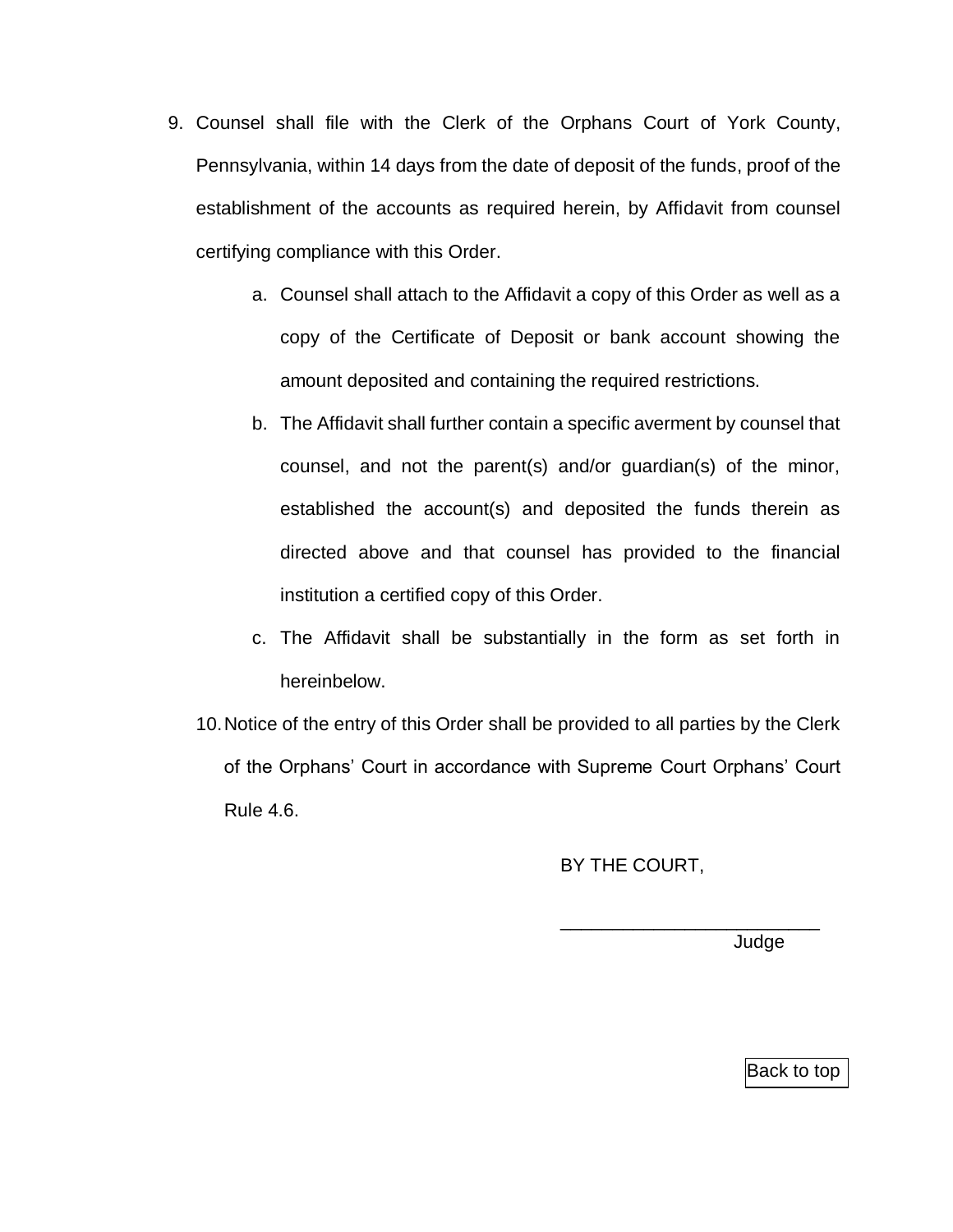- 9. Counsel shall file with the Clerk of the Orphans Court of York County, Pennsylvania, within 14 days from the date of deposit of the funds, proof of the establishment of the accounts as required herein, by Affidavit from counsel certifying compliance with this Order.
	- a. Counsel shall attach to the Affidavit a copy of this Order as well as a copy of the Certificate of Deposit or bank account showing the amount deposited and containing the required restrictions.
	- b. The Affidavit shall further contain a specific averment by counsel that counsel, and not the parent(s) and/or guardian(s) of the minor, established the account(s) and deposited the funds therein as directed above and that counsel has provided to the financial institution a certified copy of this Order.
	- c. The Affidavit shall be substantially in the form as set forth in hereinbelow.
	- 10.Notice of the entry of this Order shall be provided to all parties by the Clerk of the Orphans' Court in accordance with Supreme Court Orphans' Court Rule 4.6.

BY THE COURT,

\_\_\_\_\_\_\_\_\_\_\_\_\_\_\_\_\_\_\_\_\_\_\_\_\_

Judge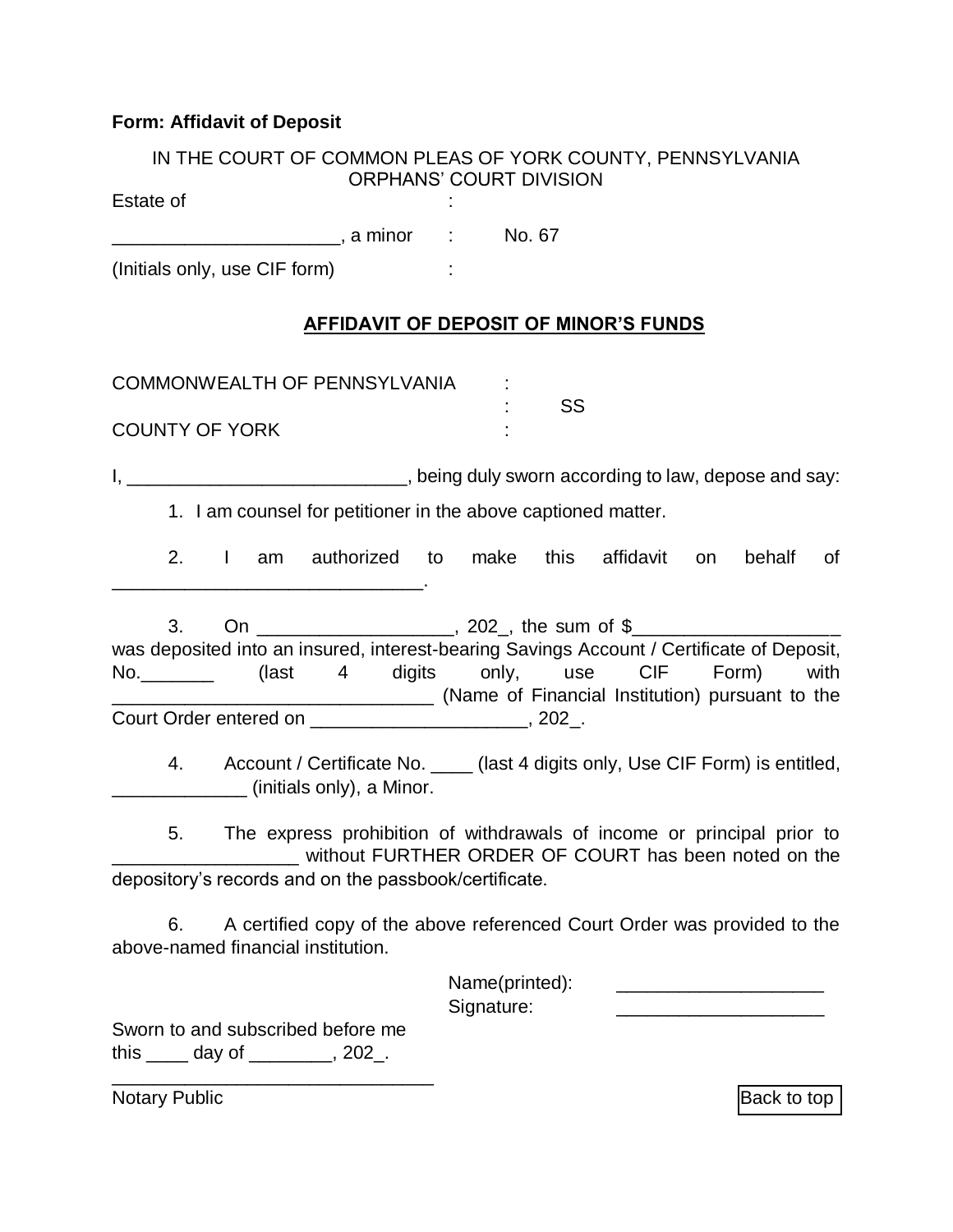# **Form: Affidavit of Deposit**

| IN THE COURT OF COMMON PLEAS OF YORK COUNTY, PENNSYLVANIA<br><b>ORPHANS' COURT DIVISION</b>                                                              |                                                                                                                                       |
|----------------------------------------------------------------------------------------------------------------------------------------------------------|---------------------------------------------------------------------------------------------------------------------------------------|
| Estate of                                                                                                                                                |                                                                                                                                       |
|                                                                                                                                                          |                                                                                                                                       |
| (Initials only, use CIF form)                                                                                                                            |                                                                                                                                       |
|                                                                                                                                                          | <b>AFFIDAVIT OF DEPOSIT OF MINOR'S FUNDS</b>                                                                                          |
| COMMONWEALTH OF PENNSYLVANIA                                                                                                                             |                                                                                                                                       |
| <b>COUNTY OF YORK</b>                                                                                                                                    | SS                                                                                                                                    |
| I, ________________________________, being duly sworn according to law, depose and say:<br>1. I am counsel for petitioner in the above captioned matter. |                                                                                                                                       |
|                                                                                                                                                          | 2. I am authorized to make this affidavit on behalf of                                                                                |
| 3.<br>was deposited into an insured, interest-bearing Savings Account / Certificate of Deposit,                                                          | On ________________________, 202_, the sum of \$__________________________________<br>(Name of Financial Institution) pursuant to the |
| (initials only), a Minor.                                                                                                                                | 4. Account / Certificate No. ____ (last 4 digits only, Use CIF Form) is entitled,                                                     |
| 5.<br>depository's records and on the passbook/certificate.                                                                                              | The express prohibition of withdrawals of income or principal prior to<br>without FURTHER ORDER OF COURT has been noted on the        |
| 6.<br>above-named financial institution.                                                                                                                 | A certified copy of the above referenced Court Order was provided to the                                                              |
| Signature:                                                                                                                                               | Name(printed):                                                                                                                        |
| Sworn to and subscribed before me<br>this $\frac{1}{2}$ day of $\frac{1}{2}$ , 202.                                                                      |                                                                                                                                       |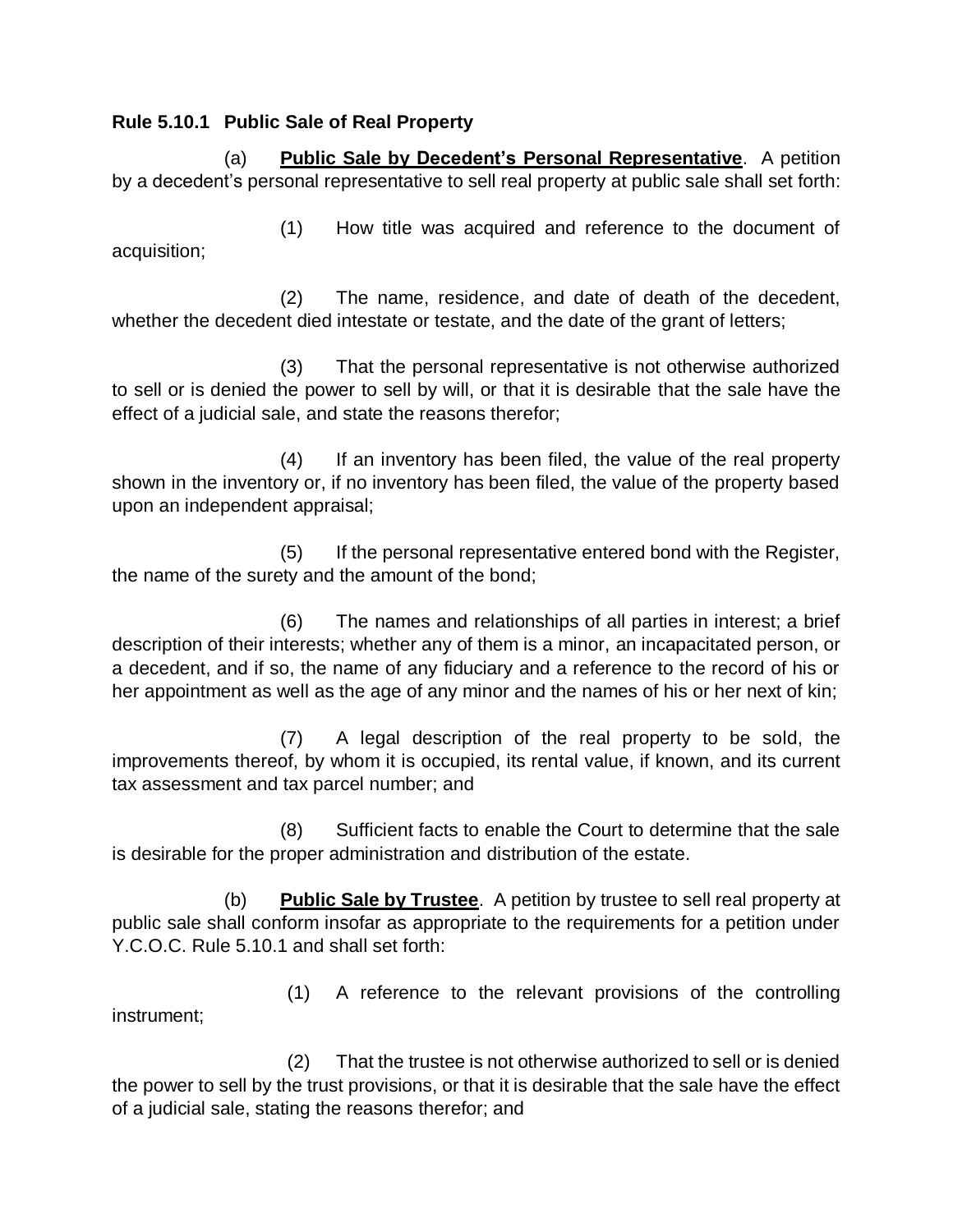#### <span id="page-12-0"></span>**Rule 5.10.1 Public Sale of Real Property**

(a) **Public Sale by Decedent's Personal Representative**. A petition by a decedent's personal representative to sell real property at public sale shall set forth:

(1) How title was acquired and reference to the document of acquisition;

(2) The name, residence, and date of death of the decedent, whether the decedent died intestate or testate, and the date of the grant of letters;

(3) That the personal representative is not otherwise authorized to sell or is denied the power to sell by will, or that it is desirable that the sale have the effect of a judicial sale, and state the reasons therefor;

(4) If an inventory has been filed, the value of the real property shown in the inventory or, if no inventory has been filed, the value of the property based upon an independent appraisal;

(5) If the personal representative entered bond with the Register, the name of the surety and the amount of the bond;

(6) The names and relationships of all parties in interest; a brief description of their interests; whether any of them is a minor, an incapacitated person, or a decedent, and if so, the name of any fiduciary and a reference to the record of his or her appointment as well as the age of any minor and the names of his or her next of kin;

(7) A legal description of the real property to be sold, the improvements thereof, by whom it is occupied, its rental value, if known, and its current tax assessment and tax parcel number; and

(8) Sufficient facts to enable the Court to determine that the sale is desirable for the proper administration and distribution of the estate.

(b) **Public Sale by Trustee**. A petition by trustee to sell real property at public sale shall conform insofar as appropriate to the requirements for a petition under Y.C.O.C. Rule 5.10.1 and shall set forth:

(1) A reference to the relevant provisions of the controlling instrument;

(2) That the trustee is not otherwise authorized to sell or is denied the power to sell by the trust provisions, or that it is desirable that the sale have the effect of a judicial sale, stating the reasons therefor; and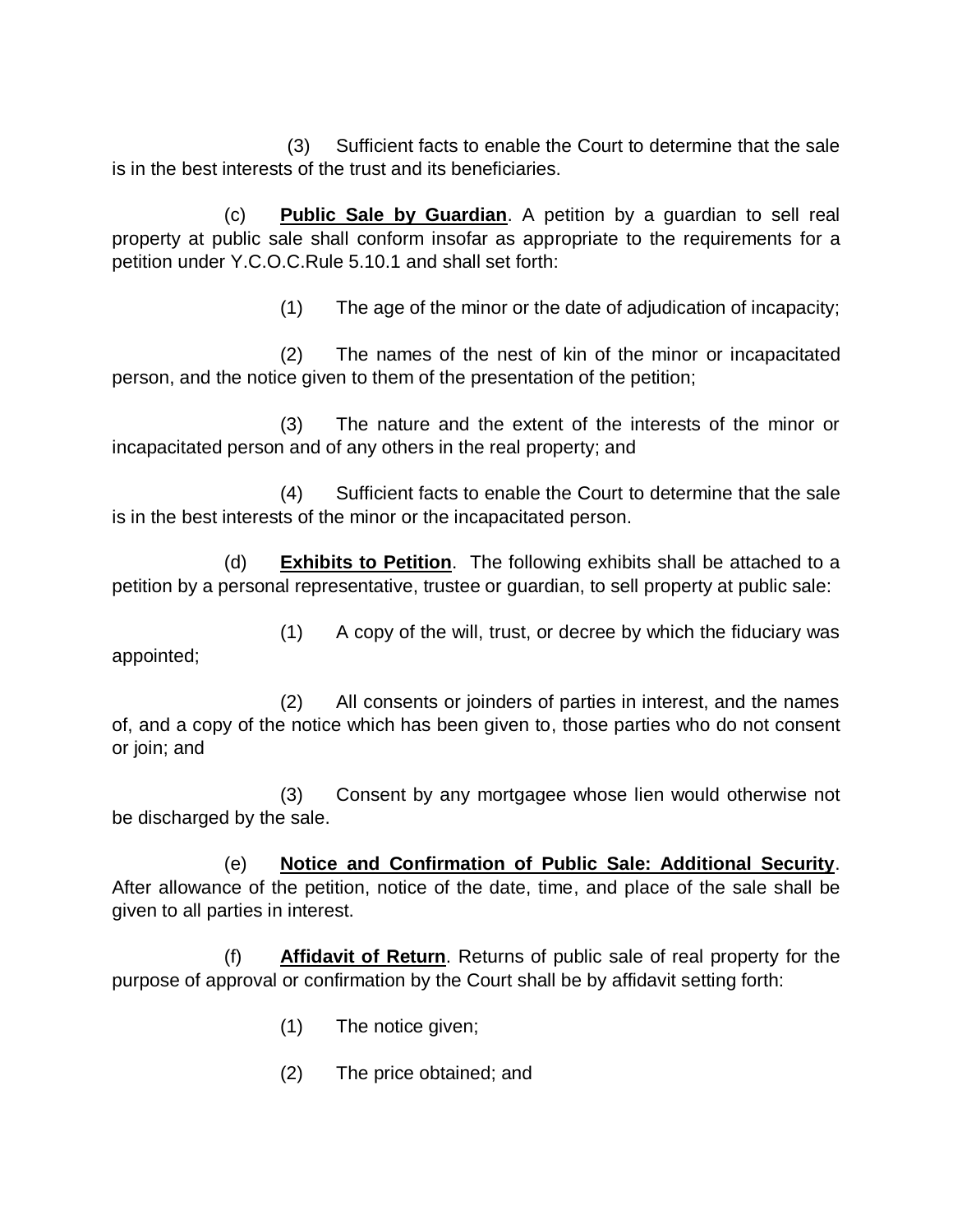(3) Sufficient facts to enable the Court to determine that the sale is in the best interests of the trust and its beneficiaries.

(c) **Public Sale by Guardian**. A petition by a guardian to sell real property at public sale shall conform insofar as appropriate to the requirements for a petition under Y.C.O.C.Rule 5.10.1 and shall set forth:

(1) The age of the minor or the date of adjudication of incapacity;

(2) The names of the nest of kin of the minor or incapacitated person, and the notice given to them of the presentation of the petition;

(3) The nature and the extent of the interests of the minor or incapacitated person and of any others in the real property; and

(4) Sufficient facts to enable the Court to determine that the sale is in the best interests of the minor or the incapacitated person.

(d) **Exhibits to Petition**. The following exhibits shall be attached to a petition by a personal representative, trustee or guardian, to sell property at public sale:

(1) A copy of the will, trust, or decree by which the fiduciary was appointed;

(2) All consents or joinders of parties in interest, and the names of, and a copy of the notice which has been given to, those parties who do not consent or join; and

(3) Consent by any mortgagee whose lien would otherwise not be discharged by the sale.

(e) **Notice and Confirmation of Public Sale: Additional Security**. After allowance of the petition, notice of the date, time, and place of the sale shall be given to all parties in interest.

(f) **Affidavit of Return**. Returns of public sale of real property for the purpose of approval or confirmation by the Court shall be by affidavit setting forth:

- (1) The notice given;
- (2) The price obtained; and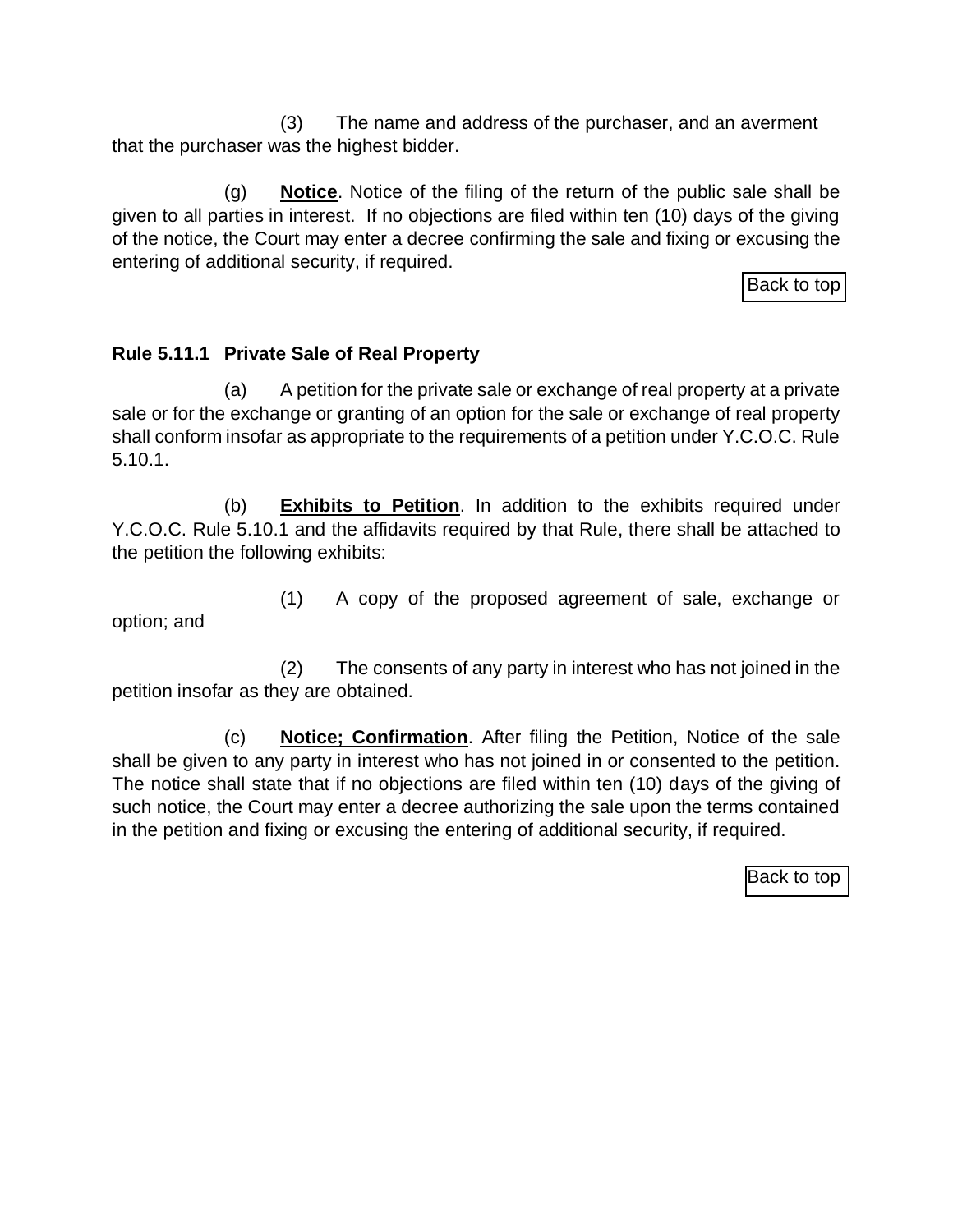(3) The name and address of the purchaser, and an averment that the purchaser was the highest bidder.

(g) **Notice**. Notice of the filing of the return of the public sale shall be given to all parties in interest. If no objections are filed within ten (10) days of the giving of the notice, the Court may enter a decree confirming the sale and fixing or excusing the entering of additional security, if required.

[Back to top](#page-0-0)

### <span id="page-14-0"></span>**Rule 5.11.1 Private Sale of Real Property**

(a) A petition for the private sale or exchange of real property at a private sale or for the exchange or granting of an option for the sale or exchange of real property shall conform insofar as appropriate to the requirements of a petition under Y.C.O.C. Rule 5.10.1.

(b) **Exhibits to Petition**. In addition to the exhibits required under Y.C.O.C. Rule 5.10.1 and the affidavits required by that Rule, there shall be attached to the petition the following exhibits:

option; and

(1) A copy of the proposed agreement of sale, exchange or

(2) The consents of any party in interest who has not joined in the petition insofar as they are obtained.

(c) **Notice; Confirmation**. After filing the Petition, Notice of the sale shall be given to any party in interest who has not joined in or consented to the petition. The notice shall state that if no objections are filed within ten (10) days of the giving of such notice, the Court may enter a decree authorizing the sale upon the terms contained in the petition and fixing or excusing the entering of additional security, if required.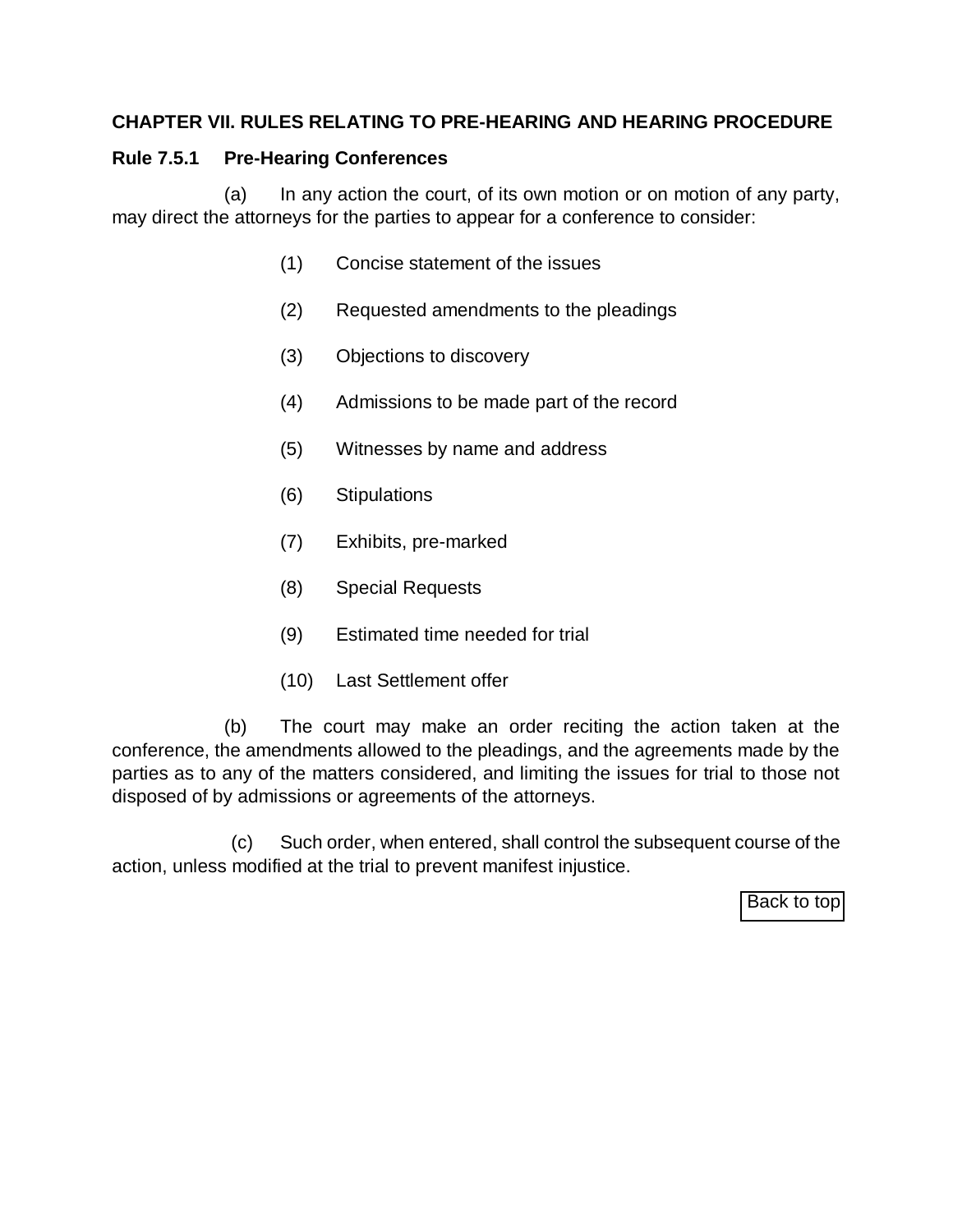### <span id="page-15-0"></span>**CHAPTER VII. RULES RELATING TO PRE-HEARING AND HEARING PROCEDURE**

## **Rule 7.5.1 Pre-Hearing Conferences**

(a) In any action the court, of its own motion or on motion of any party, may direct the attorneys for the parties to appear for a conference to consider:

- (1) Concise statement of the issues
- (2) Requested amendments to the pleadings
- (3) Objections to discovery
- (4) Admissions to be made part of the record
- (5) Witnesses by name and address
- (6) Stipulations
- (7) Exhibits, pre-marked
- (8) Special Requests
- (9) Estimated time needed for trial
- (10) Last Settlement offer

(b) The court may make an order reciting the action taken at the conference, the amendments allowed to the pleadings, and the agreements made by the parties as to any of the matters considered, and limiting the issues for trial to those not disposed of by admissions or agreements of the attorneys.

(c) Such order, when entered, shall control the subsequent course of the action, unless modified at the trial to prevent manifest injustice.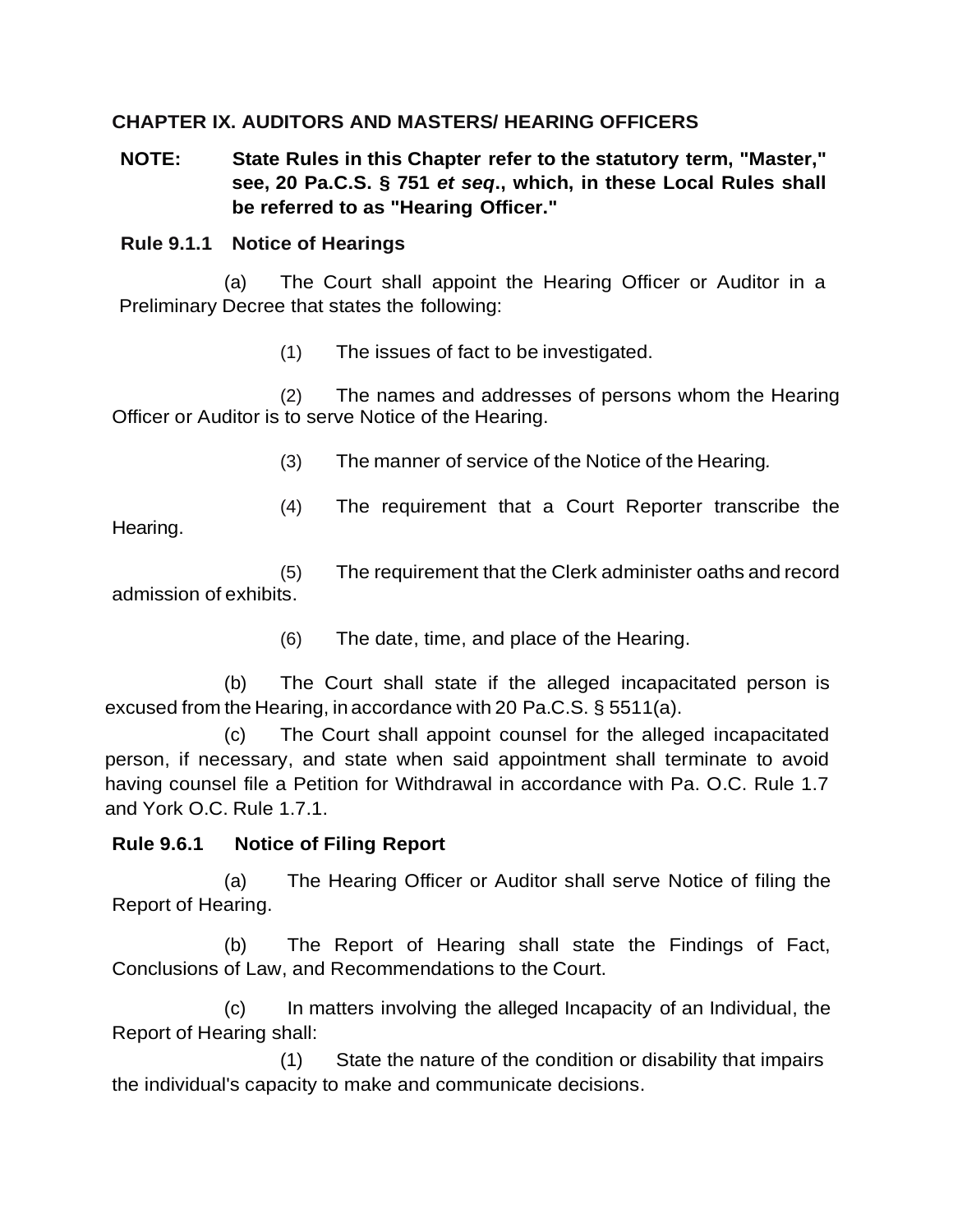### <span id="page-16-0"></span>**CHAPTER IX. AUDITORS AND MASTERS/ HEARING OFFICERS**

**NOTE: State Rules in this Chapter refer to the statutory term, "Master," see, 20 Pa.C.S. § 751** *et seq***., which, in these Local Rules shall be referred to as "Hearing Officer."**

#### **Rule 9.1.1 Notice of Hearings**

(a) The Court shall appoint the Hearing Officer or Auditor in a Preliminary Decree that states the following:

(1) The issues of fact to be investigated.

(2) The names and addresses of persons whom the Hearing Officer or Auditor is to serve Notice of the Hearing.

(3) The manner of service of the Notice of the Hearing*.*

(4) The requirement that a Court Reporter transcribe the

Hearing.

(5) The requirement that the Clerk administer oaths and record admission of exhibits.

(6) The date, time, and place of the Hearing.

(b) The Court shall state if the alleged incapacitated person is excused from the Hearing, in accordance with 20 Pa.C.S. § 5511(a).

(c) The Court shall appoint counsel for the alleged incapacitated person, if necessary, and state when said appointment shall terminate to avoid having counsel file a Petition for Withdrawal in accordance with Pa. O.C. Rule 1.7 and York O.C. Rule 1.7.1.

### <span id="page-16-1"></span>**Rule 9.6.1 Notice of Filing Report**

(a) The Hearing Officer or Auditor shall serve Notice of filing the Report of Hearing.

(b) The Report of Hearing shall state the Findings of Fact, Conclusions of Law, and Recommendations to the Court.

(c) In matters involving the alleged Incapacity of an Individual, the Report of Hearing shall:

(1) State the nature of the condition or disability that impairs the individual's capacity to make and communicate decisions.